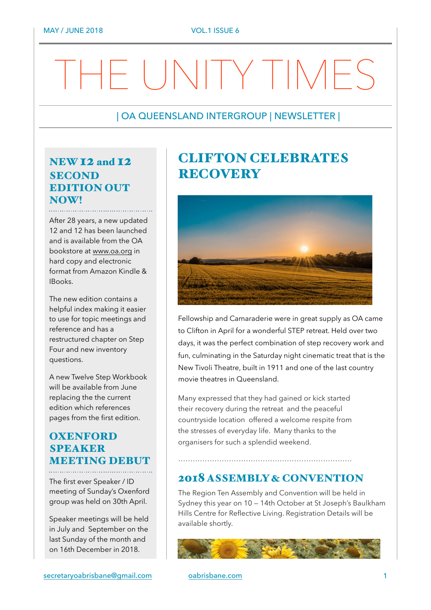# THE UNITY TIMES

#### | OA QUEENSLAND INTERGROUP | NEWSLETTER |

## NEW 12 and 12 **SECOND** EDITION OUT NOW!

After 28 years, a new updated 12 and 12 has been launched and is available from the OA bookstore at [www.oa.org](http://www.oa.org) in hard copy and electronic format from Amazon Kindle & IBooks.

The new edition contains a helpful index making it easier to use for topic meetings and reference and has a restructured chapter on Step Four and new inventory questions.

A new Twelve Step Workbook will be available from June replacing the the current edition which references pages from the first edition.

## **OXENFORD SPEAKER** MEETING DEBUT

The first ever Speaker / ID meeting of Sunday's Oxenford group was held on 30th April.

Speaker meetings will be held in July and September on the last Sunday of the month and on 16th December in 2018.

## CLIFTON CELEBRATES RECOVERY



Fellowship and Camaraderie were in great supply as OA came to Clifton in April for a wonderful STEP retreat. Held over two days, it was the perfect combination of step recovery work and fun, culminating in the Saturday night cinematic treat that is the New Tivoli Theatre, built in 1911 and one of the last country movie theatres in Queensland.

Many expressed that they had gained or kick started their recovery during the retreat and the peaceful countryside location offered a welcome respite from the stresses of everyday life. Many thanks to the organisers for such a splendid weekend.

………………………………………………………………

### 2018 ASSEMBLY & CONVENTION

The Region Ten Assembly and Convention will be held in Sydney this year on 10 — 14th October at St Joseph's Baulkham Hills Centre for Reflective Living. Registration Details will be available shortly.



[secretaryoabrisbane@gmail.com](mailto:secretaryoabrisbane@gmail.com) [oabrisbane.com](http://oabrisbane.com) 1